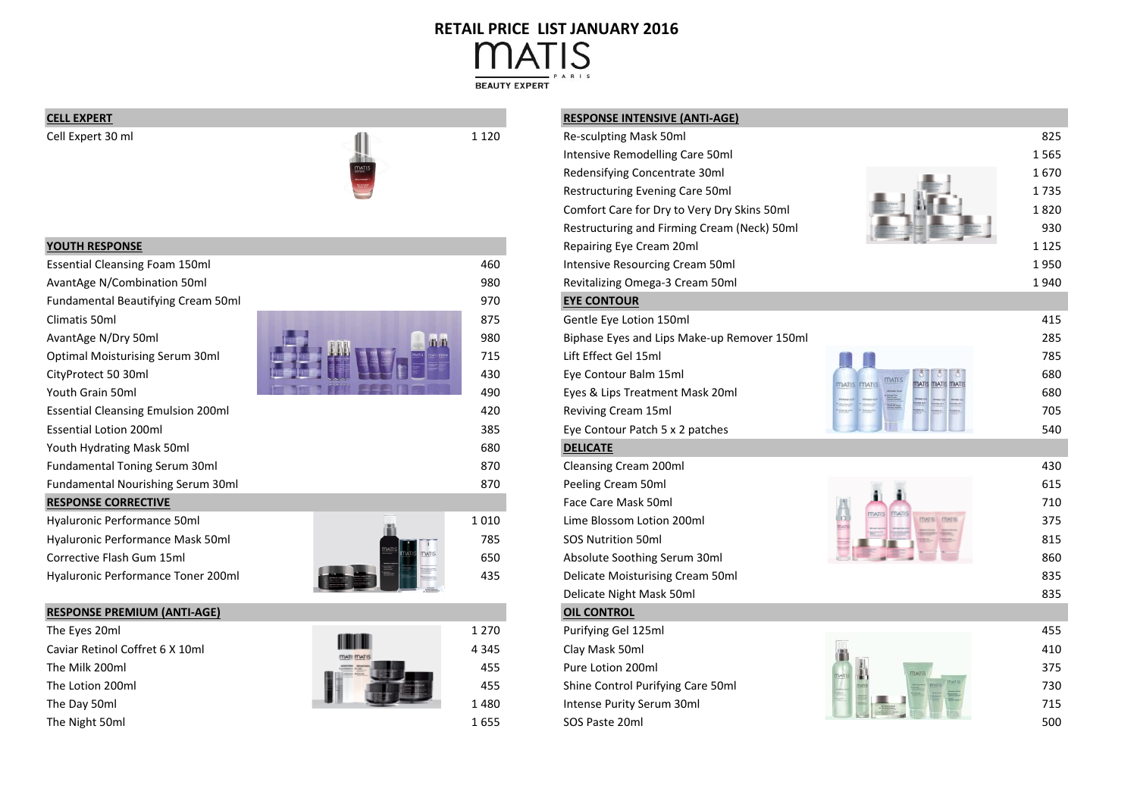# **RETAIL PRICE LIST JANUARY 2016**'IS

**BEAUTY EXPERT** 





| <b>YOUTH RESPONSE</b>                     |                     |      | Repairing        |
|-------------------------------------------|---------------------|------|------------------|
| <b>Essential Cleansing Foam 150ml</b>     |                     | 460  | Intensive        |
| AvantAge N/Combination 50ml               |                     | 980  | Revitalizir      |
| Fundamental Beautifying Cream 50ml        |                     | 970  | <b>EYE CONT</b>  |
| Climatis 50ml                             |                     | 875  | Gentle Ey        |
| AvantAge N/Dry 50ml                       | n n                 | 980  | <b>Biphase E</b> |
| <b>Optimal Moisturising Serum 30ml</b>    | <b>TIATI</b> ITATI  | 715  | Lift Effect      |
| CityProtect 50 30ml                       |                     | 430  | Eye Conto        |
| Youth Grain 50ml                          |                     | 490  | Eyes & Lip       |
| <b>Essential Cleansing Emulsion 200ml</b> |                     | 420  | Reviving 0       |
| <b>Essential Lotion 200ml</b>             |                     | 385  | Eye Conto        |
| Youth Hydrating Mask 50ml                 |                     | 680  | <b>DELICATE</b>  |
| <b>Fundamental Toning Serum 30ml</b>      |                     | 870  | Cleansing        |
| Fundamental Nourishing Serum 30ml         |                     | 870  | Peeling C        |
| <b>RESPONSE CORRECTIVE</b>                |                     |      | <b>Face Care</b> |
| Hyaluronic Performance 50ml               |                     | 1010 | Lime Blos        |
| Hyaluronic Performance Mask 50ml          |                     | 785  | <b>SOS Nutri</b> |
| Corrective Flash Gum 15ml                 | <b><i>MATIS</i></b> | 650  | Absolute         |





| The Eyes 20ml                   |                           | 1 2 7 0 | Purifying Gel 125ml               | 455 |
|---------------------------------|---------------------------|---------|-----------------------------------|-----|
| Caviar Retinol Coffret 6 X 10ml | IIII<br><b>MATI: MATI</b> | 4 3 4 5 | Clay Mask 50ml                    | 410 |
| The Milk 200ml                  |                           | 455     | Pure Lotion 200ml                 | 375 |
| The Lotion 200ml                |                           | 455     | Shine Control Purifying Care 50ml | 730 |
| The Day 50ml                    |                           | 1480    | Intense Purity Serum 30ml         | 715 |
| The Night 50ml                  |                           | 1655    | SOS Paste 20ml                    | 500 |



## **CELL EXPERT RESPONSE INTENSIVE (ANTI-AGE)** Cell Expert 30 ml 1 120 Re-sculpting Mask 50ml 825 Intensive Remodelling Care 50ml 1 665 Redensifying Concentrate 30ml 1 670 Restructuring Evening Care 50ml 1 735 Comfort Care for Dry to Very Dry Skins 50ml 1 820 Restructuring and Firming Cream (Neck) 50ml 930 **Repairing Eye Cream 20ml 1 125** Essential Cleansing Foam 150ml 460 Intensive Resourcing Cream 50ml 1 950 Revitalizing Omega-3 Cream 50ml 1 940 PM and 1 940 1 940 PM and 1 940 1 940 PM and 1 940 1 940 PM and 1 940 PM and 1 940 PM and 1 940 PM and 1 940 PM and 1 940 PM and 1 940 PM and 1 940 PM and 1 940 PM and 1 940 PM and 1 9 **EYE CONTOUR** Gentle Eye Lotion 150ml 875 Gentle Eye Lotion 150ml 875 Gentle Eye Lotion 150ml 415 Biphase Eyes and Lips Make-up Remover 150ml 285 Optimal Moisturising Serum 30ml **1996 Lift Effect Gel 15ml 1996 Lift Effect Gel 15ml** 785 Lift Effect Gel 15ml 785 CityProtect 50 30ml **19 Million 15ml 430** Eye Contour Balm 15ml 680 mans to the mans of the 1990 680 Eyes & Lips Treatment Mask 20ml 680 and the Lips Treatment Mask 20ml 680 contract and the Lips Treatment Mask 20ml Essential Cleansing Emulsion 200ml **1996 and 1996 and 1997 and 1998 and 1999** and 1999 and 1999 and 1999 and 1999 and 1999 and 1999 and 1999 and 1999 and 1999 and 1999 and 1999 and 1999 and 1999 and 1999 and 1999 and 1999 Eye Contour Patch 5 x 2 patches 540 Fundamental Toning Cream 200ml 870 Cleansing Cream 200ml 870 Cleansing Cream 200ml 430 Fundamental Nourishing Serum 30ml 870 Peeling Cream 50ml 615 **RESPONSE CORRECTIVE Example 20 All 2009 Construction of the Care Mask 50ml 710** Hyaluronic Performance 50ml 1 010 Lime Blossom Lotion 200ml 375 Hyaluronic Performance Mask 50ml 815 Nutrition 30ml 785 SOS Nutrition 50ml 785 SOS Nutrition 50ml 815 Absolute Soothing Serum 30ml 650 Absolute Soothing Serum 30ml 860 Hyaluronic Performance Toner 200ml **1990 Contract Cone and Terms and Accept** 435 Delicate Moisturising Cream 50ml 835 New 200ml 835 Delicate Night Mask 50ml 835 The Eyes 20ml **1 270** Purifying Gel 125ml **1 270** Purifying Gel 125ml 455 Caviar Retinol Coffret 6 X 10ml 4 345 Clay Mask 50ml 410